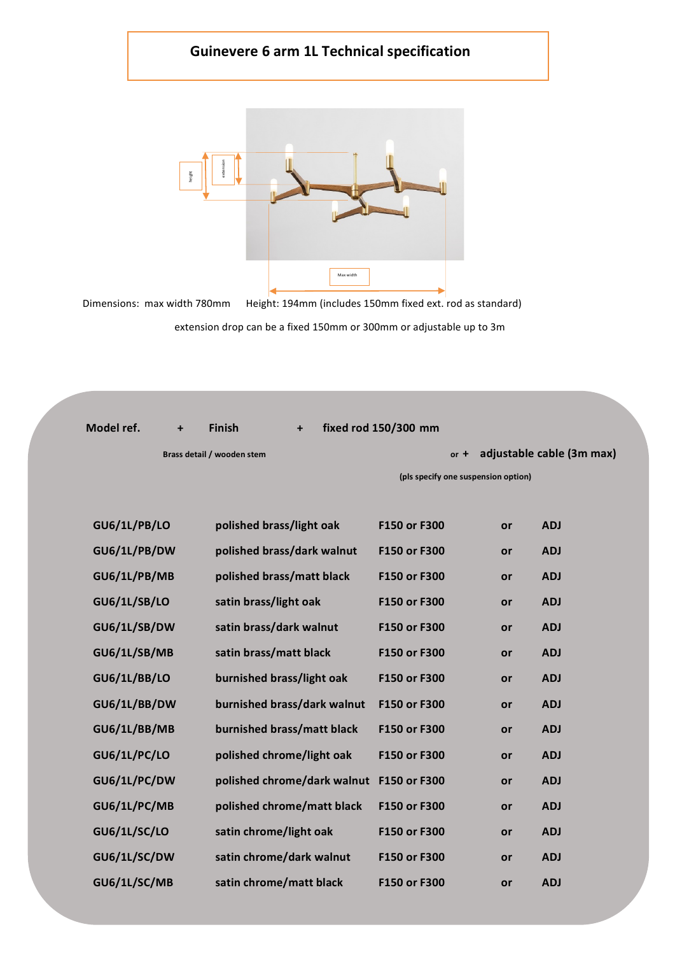## **Guinevere 6 arm 1L Technical specification**



| height<br>Dimensions: max width 780mm | extensio<br>Max width<br>Height: 194mm (includes 150mm fixed ext. rod as standard)<br>extension drop can be a fixed 150mm or 300mm or adjustable up to 3m |                      |                                     |                           |
|---------------------------------------|-----------------------------------------------------------------------------------------------------------------------------------------------------------|----------------------|-------------------------------------|---------------------------|
|                                       |                                                                                                                                                           |                      |                                     |                           |
|                                       |                                                                                                                                                           |                      |                                     |                           |
| Model ref.                            | <b>Finish</b>                                                                                                                                             | fixed rod 150/300 mm |                                     |                           |
|                                       | Brass detail / wooden stem                                                                                                                                |                      | $or +$                              | adjustable cable (3m max) |
|                                       |                                                                                                                                                           |                      | (pls specify one suspension option) |                           |
|                                       |                                                                                                                                                           |                      |                                     |                           |
| <b>GU6/1L/PB/LO</b>                   | polished brass/light oak                                                                                                                                  | F150 or F300         | or                                  | <b>ADJ</b>                |
| GU6/1L/PB/DW                          | polished brass/dark walnut                                                                                                                                | F150 or F300         | or                                  | <b>ADJ</b>                |
| GU6/1L/PB/MB                          | polished brass/matt black                                                                                                                                 | F150 or F300         | or                                  | <b>ADJ</b>                |
| <b>GU6/1L/SB/LO</b>                   | satin brass/light oak                                                                                                                                     | F150 or F300         | or                                  | <b>ADJ</b>                |
| GU6/1L/SB/DW                          | satin brass/dark walnut                                                                                                                                   | F150 or F300         | or                                  | <b>ADJ</b>                |
| GU6/1L/SB/MB                          | satin brass/matt black                                                                                                                                    | F150 or F300         | or                                  | <b>ADJ</b>                |
| <b>GU6/1L/BB/LO</b>                   | burnished brass/light oak                                                                                                                                 | F150 or F300         | or                                  | <b>ADJ</b>                |
| GU6/1L/BB/DW                          | burnished brass/dark walnut                                                                                                                               | F150 or F300         | or                                  | <b>ADJ</b>                |
| GU6/1L/BB/MB                          | burnished brass/matt black                                                                                                                                | F150 or F300         | or                                  | <b>ADJ</b>                |
| <b>GU6/1L/PC/LO</b>                   | polished chrome/light oak                                                                                                                                 | F150 or F300         | or                                  | <b>ADJ</b>                |
| GU6/1L/PC/DW                          | polished chrome/dark walnut                                                                                                                               | F150 or F300         | or                                  | <b>ADJ</b>                |
| GU6/1L/PC/MB                          | polished chrome/matt black                                                                                                                                | F150 or F300         | or                                  | <b>ADJ</b>                |
| <b>GU6/1L/SC/LO</b>                   | satin chrome/light oak                                                                                                                                    | F150 or F300         | or                                  | <b>ADJ</b>                |
| GU6/1L/SC/DW                          | satin chrome/dark walnut                                                                                                                                  | F150 or F300         | or                                  | <b>ADJ</b>                |
| GU6/1L/SC/MB                          | satin chrome/matt black                                                                                                                                   | F150 or F300         | or                                  | <b>ADJ</b>                |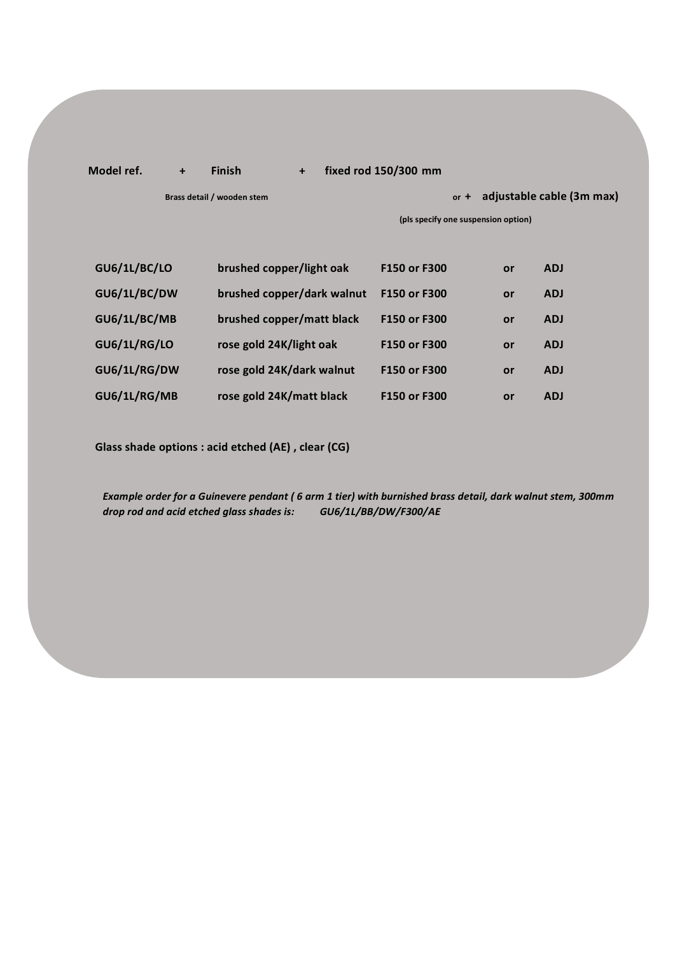## **Model ref. + Finish + fixed rod 150/300 mm**

**Brass detail / wooden stem and in the state of the state of the state of the adjustable cable (3m max)** 

**(pls specify one suspension option)**

| <b>GU6/1L/BC/LO</b> | brushed copper/light oak   | F150 or F300 | or | <b>ADJ</b> |
|---------------------|----------------------------|--------------|----|------------|
| GU6/1L/BC/DW        | brushed copper/dark walnut | F150 or F300 | or | <b>ADJ</b> |
| GU6/1L/BC/MB        | brushed copper/matt black  | F150 or F300 | or | <b>ADJ</b> |
| <b>GU6/1L/RG/LO</b> | rose gold 24K/light oak    | F150 or F300 | or | <b>ADJ</b> |
| GU6/1L/RG/DW        | rose gold 24K/dark walnut  | F150 or F300 | or | <b>ADJ</b> |
| GU6/1L/RG/MB        | rose gold 24K/matt black   | F150 or F300 | or | <b>ADJ</b> |

**Glass shade options : acid etched (AE) , clear (CG)**

*Example order for a Guinevere pendant ( 6 arm 1 tier) with burnished brass detail, dark walnut stem, 300mm drop rod and acid etched glass shades is: GU6/1L/BB/DW/F300/AE*